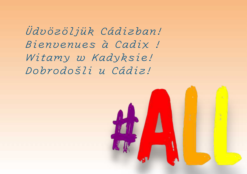*Üdvözöljük Cádizban! Bienvenues à Cadix ! Witamy w Kadyksie! Dobrodošli u Cádiz!*

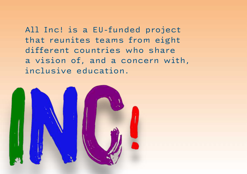All Inc! is a EU-funded project that reunites teams from eight different countries who share a vision of, and a concern with, inclusive education.

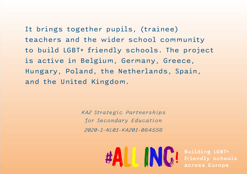It brings together pupils, (trainee) teachers and the wider school community to build LGBT+ friendly schools. The project is active in Belgium, Germany, Greece, Hungary, Poland, the Netherlands, Spain, and the United Kingdom.

> *KA2 Strategic Partnerships for Secondary Education 2020-1-NL01-KA201-064556*

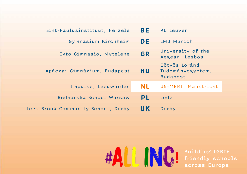| Sint-Paulusinstituut, Herzele      | BE  | KU Leuven                                            |
|------------------------------------|-----|------------------------------------------------------|
| Gymnasium Kirchheim                | DE  | LMU Munich                                           |
| Ekto Gimnasio, Mytelene            | GR  | University of the<br>Aegean, Lesbos                  |
| Apáczai Gimnázium, Budapest        | HU. | Eötvös Loránd<br>Tudományegyetem,<br><b>Budapest</b> |
| !mpulse, Leeuwarden                | NL  | UN-MERIT Maastricht                                  |
| Bednarska School Warsaw            | PL  | Lodz                                                 |
| Lees Brook Community School, Derby | UK  | Derby                                                |

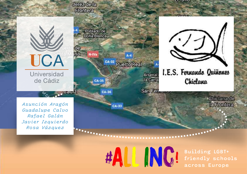

INC!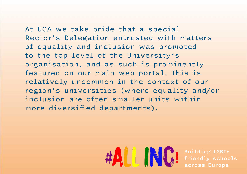At UCA we take pride that a special Rector's Delegation entrusted with matters of equality and inclusion was promoted to the top level of the University's organisation, and as such is prominently featured on our main web portal. This is relatively uncommon in the context of our region's universities (where equality and/or inclusion are often smaller units within more diversified departments).

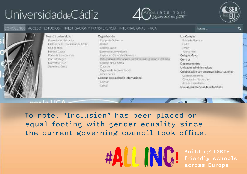# UniversidaddeCádiz

 $n^2$  |2||C







To note, "Inclusion" has been placed on equal footing with gender equality since the current governing council took office.

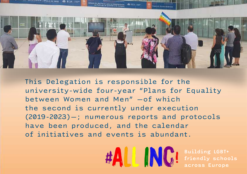

This Delegation is responsible for the university-wide four-year "Plans for Equality between Women and Men" —of which the second is currently under execution (2019-2023)—; numerous reports and protocols have been produced, and the calendar of initiatives and events is abundant.

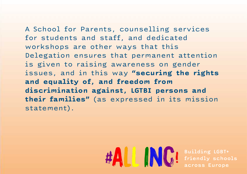A School for Parents, counselling services for students and staff, and dedicated workshops are other ways that this Delegation ensures that permanent attention is given to raising awareness on gender issues, and in this way **"securing the rights and equality of, and freedom from discrimination against, LGTBI persons and their families"** (as expressed in its mission statement).

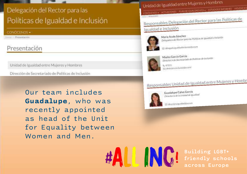## Delegación del Rector para las Políticas de Igualdad e Inclusión

#### CONOCENOS -

Presentación

### Presentación

Unidad de Igualdad entre Mujeres y Hombres

Dirección de Secretariado de Políticas de Inclusión

Our team includes **Guadalupe**, who was recently appointed as head of the Unit for Equality between Women and Men.

Unidad de Igualdad entre Mujeres y Hombres

CONOCENOS ACTUACIONES PLANDERGUALDADUCA ESTUDIOSE BITORNES VIOLENCIAL

Responsables Delegación del Rector para las Políticas de

#### Igualdad e Inclusión



Maria Acale Sánchez Maria Acale Sánchez<br>Delegado a del Rector para las Políticas de Igualdad e finclusión

(2) desegada igualdadincius on@uca.es



Mayka García García Mayka García Geretariado de Políticas de Inclusión

L 47011 ICI directora inclusion@uca.es

## Responsables Unidad de Igualdad entre Mujeres y Hombr



Guadalupe Calvo García Director/a de la Unidad de Igualdad

Ed directora igualdad@oca.es

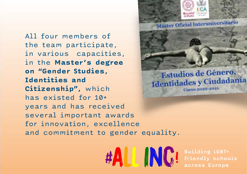All four members of the team participate, in various capacities, in the **Master's degree on "Gender Studies, Identities and Citizenship",** which has existed for 10+ years and has received several important awards for innovation, excellence and commitment to gender equality.



**Máster Oficial Interuniversitario** 



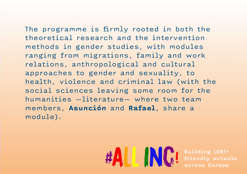The programme is firmly rooted in both the theoretical research and the intervention methods in gender studies, with modules ranging from migrations, family and work relations, anthropological and cultural approaches to gender and sexuality, to health, violence and criminal law (with the social sciences leaving some room for the humanities —literature— where two team members, **Asunción** and **Rafael**, share a module).

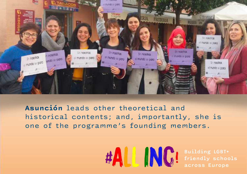

**Asunción** leads other theoretical and historical contents; and, importantly, she is one of the programme's founding members.

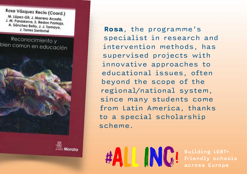Rosa Vázquez Recio (Coord.) M. López-Gil, J. Marrero Acosta, J. M. Paraskeva, S. Redon Pantoja, A. Sánchez Bello, J. J. Tamayo, J. Torres Santomé

Reconocimiento y bien común en educación



**Rosa**, the programme's specialist in research and intervention methods, has supervised projects with innovative approaches to educational issues, often beyond the scope of the regional/national system, since many students come from Latin America, thanks to a special scholarship scheme.

AN A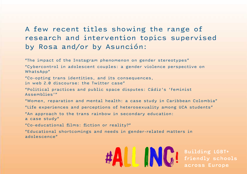### A few recent titles showing the range of research and intervention topics supervised by Rosa and/or by Asunción:

"The impact of the Instagram phenomenon on gender stereotypes"

"Cybercontrol in adolescent couples: a gender violence perspective on WhatsApp"

"Co-opting trans identities, and its consequences,

in web 2.0 discourse: the Twitter case"

"Political practices and public space disputes: Cádiz's 'Feminist Assemblies'"

"Women, reparation and mental health: a case study in Caribbean Colombia"

"Life experiences and perceptions of heterosexuality among UCA students"

"An approach to the trans rainbow in secondary education:

a case study"

"Co-educational films: fiction or reality?"

"Educational shortcomings and needs in gender-related matters in adolescence"

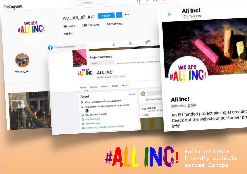



#### All Inc!

@homo\_poly

An EU funded project aiming at creating Check out the website of our former pro info!

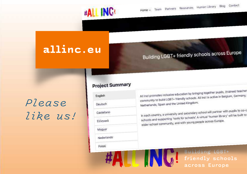

## **allinc.eu**

Building LGBT+ friendly schools across Europe

Partners Resources Human Library Blog Contact

across Europe

# *Please like us!*

#### **Project Summary**

#ALL INC!

All Incl promotes inclusive education by bringing together pupils, (trainee) teachers All Incl promotes inclusive education by bringing together pupils, the many, the community to build LGBT+ friendly schools. All Incl is active in Belgium, Germany, I English Netherlands, Spain and the United Kingdom. Deutsch In each country, a university and secondary school will partner with pupils to co-co-<br>In each country, a university and secondary school will partner with pupils to Castellano In each country, a university and secondary school will be transfer that the built to<br>schools and supporting 'tools for schools'. A virtual 'human library' will be built to schools and supporting tools ior schools people across Europe. Ελληνικά Magyar Nederlands Polski Building LGBT+ **ING!** friendly schools

Home  $\vee$ 

Team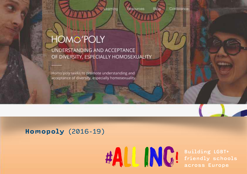eaming

Resources

Bloc

Conference

# **HOMO'POLY**

UNDERSTANDING AND ACCEPTANCE OF DIVERSITY, ESPECIALLY HOMOSEXUALITY

Homo'poly seeks to promote understanding and acceptance of diversity, especially homosexuality,

### **Homopoly** (2016-19)

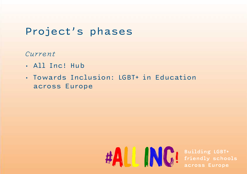# Project's phases

*Current*

- All Inc! Hub
- Towards Inclusion: LGBT+ in Education across Europe

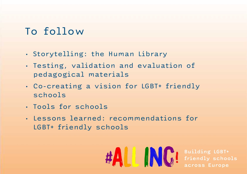## To follow

- Storytelling: the Human Library
- Testing, validation and evaluation of pedagogical materials
- Co-creating a vision for LGBT+ friendly schools
- Tools for schools
- Lessons learned: recommendations for LGBT+ friendly schools

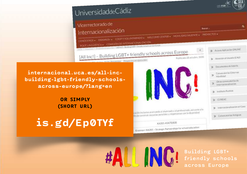

**[internacional.uca.es/all-inc](https://internacional.uca.es/all-inc-building-lgbt-friendly-schools-across-europe/)[building-lgbt-friendly-schools](https://internacional.uca.es/all-inc-building-lgbt-friendly-schools-across-europe/)[across-europe/?lang=en](https://internacional.uca.es/all-inc-building-lgbt-friendly-schools-across-europe/)**

Vicerrectorado de

Internacionalización

**OR SIMPLY (SHORT URL)**

**is.gd/Ep0TYf**

**THE TIME OF THE PROPERTY**